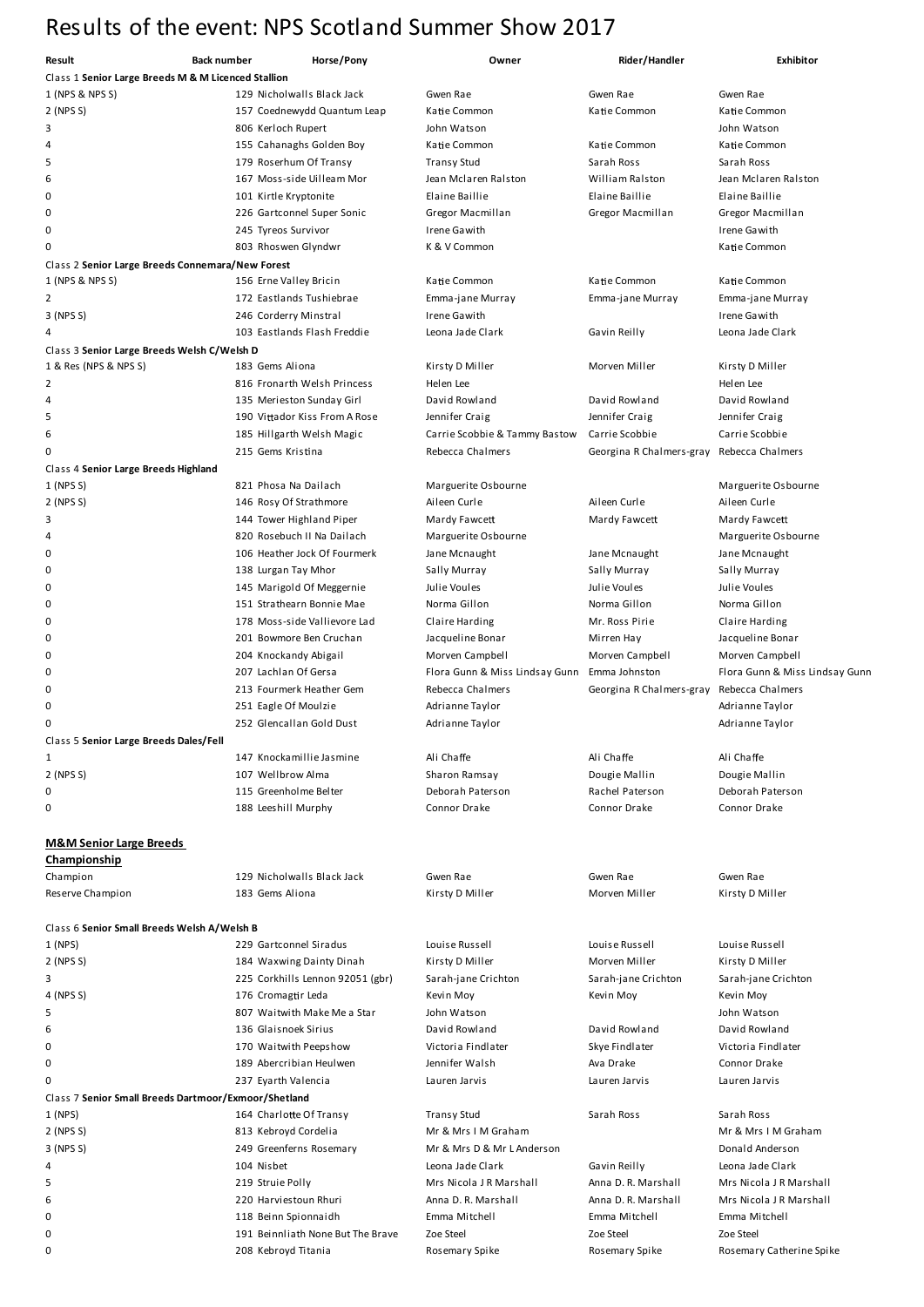## Results of the event: NPS Scotland Summer Show 2017

| Result                                               | Back number | Horse/Pony                        | Owner                          | Rider/Handler            | <b>Exhibitor</b>               |
|------------------------------------------------------|-------------|-----------------------------------|--------------------------------|--------------------------|--------------------------------|
| Class 1 Senior Large Breeds M & M Licenced Stallion  |             |                                   |                                |                          |                                |
| 1 (NPS & NPS S)                                      |             | 129 Nicholwalls Black Jack        | Gwen Rae                       | Gwen Rae                 | Gwen Rae                       |
| 2 (NPS S)                                            |             | 157 Coednewydd Quantum Leap       | Katie Common                   | Katie Common             | Katie Common                   |
| 3                                                    |             | 806 Kerloch Rupert                | John Watson                    |                          | John Watson                    |
| 4                                                    |             | 155 Cahanaghs Golden Boy          | Katie Common                   | Katie Common             | Katie Common                   |
| 5                                                    |             | 179 Roserhum Of Transy            | <b>Transy Stud</b>             | Sarah Ross               | Sarah Ross                     |
| 6                                                    |             | 167 Moss-side Uilleam Mor         | Jean Mclaren Ralston           | William Ralston          | Jean Mclaren Ralston           |
| 0                                                    |             | 101 Kirtle Kryptonite             | Elaine Baillie                 | Elaine Baillie           | Elaine Baillie                 |
| 0                                                    |             | 226 Gartconnel Super Sonic        | Gregor Macmillan               | Gregor Macmillan         | Gregor Macmillan               |
| 0                                                    |             | 245 Tyreos Survivor               | Irene Gawith                   |                          | Irene Gawith                   |
|                                                      |             |                                   | K & V Common                   |                          |                                |
| 0                                                    |             | 803 Rhoswen Glyndwr               |                                |                          | Katie Common                   |
| Class 2 Senior Large Breeds Connemara/New Forest     |             |                                   |                                |                          |                                |
| 1 (NPS & NPS S)                                      |             | 156 Erne Valley Bricin            | Katie Common                   | Katie Common             | Katie Common                   |
| 2                                                    |             | 172 Eastlands Tushiebrae          | Emma-jane Murray               | Emma-jane Murray         | Emma-jane Murray               |
| 3 (NPS S)                                            |             | 246 Corderry Minstral             | Irene Gawith                   |                          | Irene Gawith                   |
| 4                                                    |             | 103 Eastlands Flash Freddie       | Leona Jade Clark               | Gavin Reilly             | Leona Jade Clark               |
| Class 3 Senior Large Breeds Welsh C/Welsh D          |             |                                   |                                |                          |                                |
| 1 & Res (NPS & NPS S)                                |             | 183 Gems Aliona                   | Kirsty D Miller                | Morven Miller            | Kirsty D Miller                |
| 2                                                    |             | 816 Fronarth Welsh Princess       | Helen Lee                      |                          | Helen Lee                      |
| 4                                                    |             | 135 Merieston Sunday Girl         | David Rowland                  | David Rowland            | David Rowland                  |
| 5                                                    |             | 190 Vittador Kiss From A Rose     | Jennifer Craig                 | Jennifer Craig           | Jennifer Craig                 |
| 6                                                    |             | 185 Hillgarth Welsh Magic         | Carrie Scobbie & Tammy Bastow  | Carrie Scobbie           | Carrie Scobbie                 |
| 0                                                    |             | 215 Gems Kristina                 | Rebecca Chalmers               | Georgina R Chalmers-gray | Rebecca Chalmers               |
|                                                      |             |                                   |                                |                          |                                |
| Class 4 Senior Large Breeds Highland                 |             |                                   |                                |                          |                                |
| 1 (NPS S)                                            |             | 821 Phosa Na Dailach              | Marguerite Osbourne            |                          | Marguerite Osbourne            |
| 2 (NPS S)                                            |             | 146 Rosy Of Strathmore            | Aileen Curle                   | Aileen Curle             | Aileen Curle                   |
| 3                                                    |             | 144 Tower Highland Piper          | Mardy Fawcett                  | Mardy Fawcett            | Mardy Fawcett                  |
| 4                                                    |             | 820 Rosebuch II Na Dailach        | Marguerite Osbourne            |                          | Marguerite Osbourne            |
| 0                                                    |             | 106 Heather Jock Of Fourmerk      | Jane Mcnaught                  | Jane Mcnaught            | Jane Mcnaught                  |
| 0                                                    |             | 138 Lurgan Tay Mhor               | Sally Murray                   | Sally Murray             | Sally Murray                   |
| 0                                                    |             | 145 Marigold Of Meggernie         | Julie Voules                   | Julie Voules             | Julie Voules                   |
| 0                                                    |             | 151 Strathearn Bonnie Mae         | Norma Gillon                   | Norma Gillon             | Norma Gillon                   |
| 0                                                    |             | 178 Moss-side Vallievore Lad      | Claire Harding                 | Mr. Ross Pirie           | Claire Harding                 |
| 0                                                    |             | 201 Bowmore Ben Cruchan           | Jacqueline Bonar               | Mirren Hay               | Jacqueline Bonar               |
| 0                                                    |             | 204 Knockandy Abigail             | Morven Campbell                | Morven Campbell          | Morven Campbell                |
| 0                                                    |             | 207 Lachlan Of Gersa              | Flora Gunn & Miss Lindsay Gunn | Emma Johnston            | Flora Gunn & Miss Lindsay Gunn |
| 0                                                    |             | 213 Fourmerk Heather Gem          | Rebecca Chalmers               | Georgina R Chalmers-gray | Rebecca Chalmers               |
| 0                                                    |             | 251 Eagle Of Moulzie              | Adrianne Taylor                |                          | Adrianne Taylor                |
| 0                                                    |             | 252 Glencallan Gold Dust          | Adrianne Taylor                |                          | Adrianne Taylor                |
|                                                      |             |                                   |                                |                          |                                |
| Class 5 Senior Large Breeds Dales/Fell               |             | 147 Knockamillie Jasmine          |                                |                          |                                |
| $\mathbf{1}$                                         |             |                                   | Ali Chaffe                     | Ali Chaffe               | Ali Chaffe                     |
| 2 (NPS S)                                            |             | 107 Wellbrow Alma                 | Sharon Ramsay                  | Dougie Mallin            | Dougie Mallin                  |
| 0                                                    |             | 115 Greenholme Belter             | Deborah Paterson               | Rachel Paterson          | Deborah Paterson               |
| 0                                                    |             | 188 Leeshill Murphy               | Connor Drake                   | Connor Drake             | Connor Drake                   |
|                                                      |             |                                   |                                |                          |                                |
| <b>M&amp;M Senior Large Breeds</b>                   |             |                                   |                                |                          |                                |
| Championship                                         |             |                                   |                                |                          |                                |
| Champion                                             |             | 129 Nicholwalls Black Jack        | Gwen Rae                       | Gwen Rae                 | Gwen Rae                       |
| Reserve Champion                                     |             | 183 Gems Aliona                   | Kirsty D Miller                | Morven Miller            | Kirsty D Miller                |
|                                                      |             |                                   |                                |                          |                                |
| Class 6 Senior Small Breeds Welsh A/Welsh B          |             |                                   |                                |                          |                                |
| 1 (NPS)                                              |             | 229 Gartconnel Siradus            | Louise Russell                 | Louise Russell           | Louise Russell                 |
| 2 (NPS S)                                            |             | 184 Waxwing Dainty Dinah          | Kirsty D Miller                | Morven Miller            | Kirsty D Miller                |
| 3                                                    |             | 225 Corkhills Lennon 92051 (gbr)  | Sarah-jane Crichton            | Sarah-jane Crichton      | Sarah-jane Crichton            |
| 4 (NPS S)                                            |             | 176 Cromagtir Leda                | Kevin Moy                      | Kevin Moy                | Kevin Moy                      |
| 5                                                    |             | 807 Waitwith Make Me a Star       |                                |                          |                                |
|                                                      |             |                                   | John Watson                    |                          | John Watson                    |
| 6                                                    |             | 136 Glaisnoek Sirius              | David Rowland                  | David Rowland            | David Rowland                  |
| 0                                                    |             | 170 Waitwith Peepshow             | Victoria Findlater             | Skye Findlater           | Victoria Findlater             |
| 0                                                    |             | 189 Abercribian Heulwen           | Jennifer Walsh                 | Ava Drake                | Connor Drake                   |
| $\mathbf 0$                                          |             | 237 Eyarth Valencia               | Lauren Jarvis                  | Lauren Jarvis            | Lauren Jarvis                  |
| Class 7 Senior Small Breeds Dartmoor/Exmoor/Shetland |             |                                   |                                |                          |                                |
| 1 (NPS)                                              |             | 164 Charlotte Of Transy           | <b>Transy Stud</b>             | Sarah Ross               | Sarah Ross                     |
| 2 (NPS S)                                            |             | 813 Kebroyd Cordelia              | Mr & Mrs I M Graham            |                          | Mr & Mrs I M Graham            |
| 3 (NPS S)                                            |             | 249 Greenferns Rosemary           | Mr & Mrs D & Mr L Anderson     |                          | Donald Anderson                |
| 4                                                    |             | 104 Nisbet                        | Leona Jade Clark               | Gavin Reilly             | Leona Jade Clark               |
| 5                                                    |             | 219 Struie Polly                  | Mrs Nicola J R Marshall        | Anna D. R. Marshall      | Mrs Nicola J R Marshall        |
| 6                                                    |             | 220 Harviestoun Rhuri             | Anna D. R. Marshall            | Anna D. R. Marshall      | Mrs Nicola J R Marshall        |
| 0                                                    |             | 118 Beinn Spionnaidh              | Emma Mitchell                  | Emma Mitchell            | Emma Mitchell                  |
| 0                                                    |             | 191 Beinnliath None But The Brave | Zoe Steel                      | Zoe Steel                | Zoe Steel                      |
| 0                                                    |             | 208 Kebroyd Titania               | Rosemary Spike                 | Rosemary Spike           | Rosemary Catherine Spike       |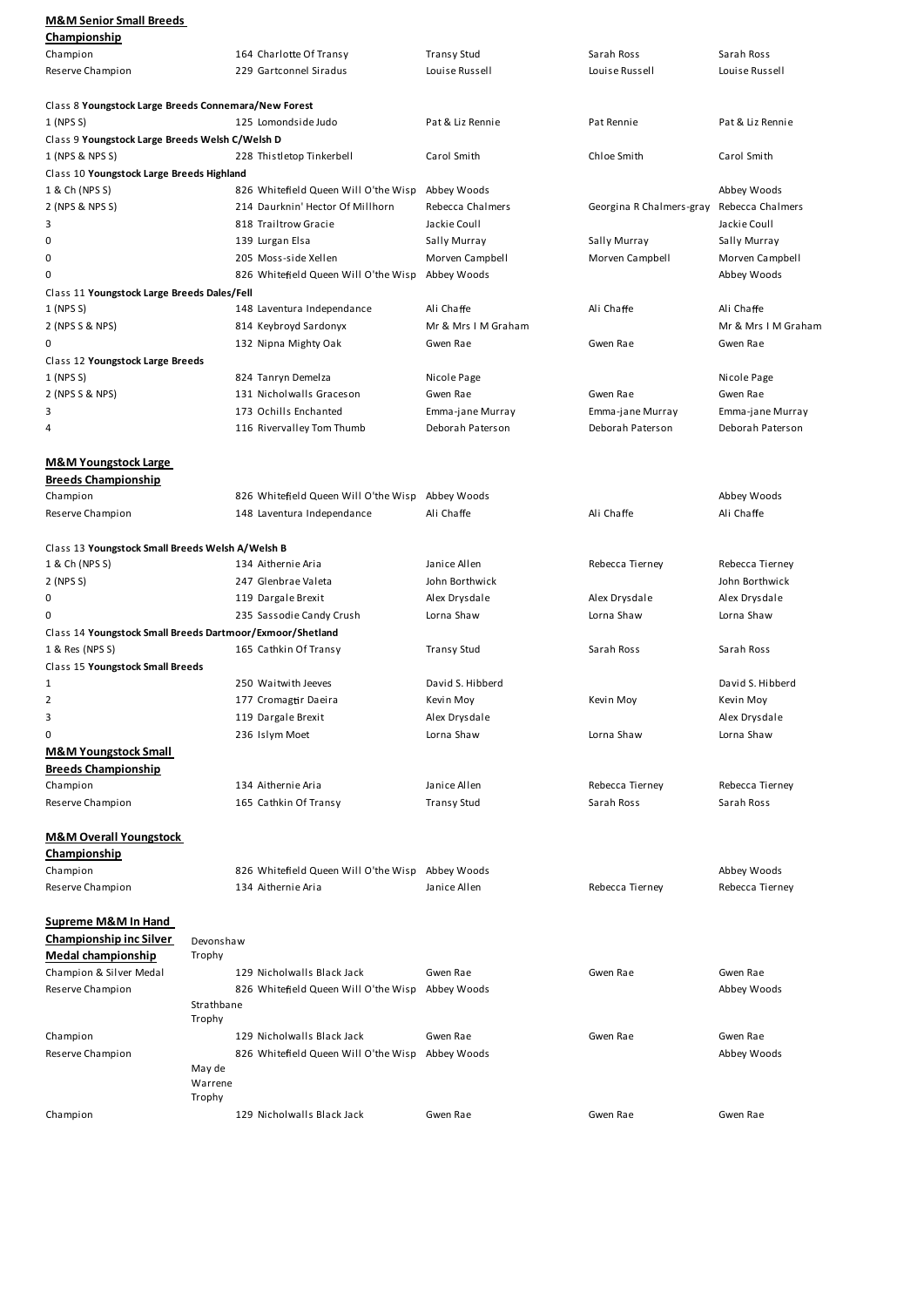| M&M Senior Small Breeds<br>Championship                            |                             |                                                  |                     |                          |                     |
|--------------------------------------------------------------------|-----------------------------|--------------------------------------------------|---------------------|--------------------------|---------------------|
| Champion                                                           |                             | 164 Charlotte Of Transy                          | <b>Transy Stud</b>  | Sarah Ross               | Sarah Ross          |
| Reserve Champion                                                   |                             | 229 Gartconnel Siradus                           | Louise Russell      | Louise Russell           | Louise Russell      |
| Class 8 Youngstock Large Breeds Connemara/New Forest<br>1 (NPS S)  |                             | 125 Lomondside Judo                              | Pat & Liz Rennie    | Pat Rennie               | Pat & Liz Rennie    |
| Class 9 Youngstock Large Breeds Welsh C/Welsh D                    |                             |                                                  |                     |                          |                     |
| 1 (NPS & NPS S)                                                    |                             | 228 Thistletop Tinkerbell                        | Carol Smith         | Chloe Smith              | Carol Smith         |
| Class 10 Youngstock Large Breeds Highland                          |                             |                                                  |                     |                          |                     |
| 1 & Ch (NPS S)                                                     |                             | 826 Whitefield Queen Will O'the Wisp             | Abbey Woods         |                          | Abbey Woods         |
|                                                                    |                             | 214 Daurknin' Hector Of Millhorn                 | Rebecca Chalmers    |                          |                     |
| 2 (NPS & NPS S)                                                    |                             |                                                  |                     | Georgina R Chalmers-gray | Rebecca Chalmers    |
| 3                                                                  |                             | 818 Trailtrow Gracie                             | Jackie Coull        |                          | Jackie Coull        |
| 0                                                                  |                             | 139 Lurgan Elsa                                  | Sally Murray        | Sally Murray             | Sally Murray        |
| 0                                                                  |                             | 205 Moss-side Xellen                             | Morven Campbell     | Morven Campbell          | Morven Campbell     |
| 0                                                                  |                             | 826 Whitefield Queen Will O'the Wisp             | Abbey Woods         |                          | Abbey Woods         |
| Class 11 Youngstock Large Breeds Dales/Fell                        |                             |                                                  |                     |                          |                     |
| 1 (NPS S)                                                          |                             | 148 Laventura Independance                       | Ali Chaffe          | Ali Chaffe               | Ali Chaffe          |
| 2 (NPS S & NPS)                                                    |                             | 814 Keybroyd Sardonyx                            | Mr & Mrs I M Graham |                          | Mr & Mrs I M Graham |
| 0                                                                  |                             | 132 Nipna Mighty Oak                             | Gwen Rae            | Gwen Rae                 | Gwen Rae            |
| Class 12 Youngstock Large Breeds                                   |                             |                                                  |                     |                          |                     |
| 1 (NPS S)                                                          |                             | 824 Tanryn Demelza                               | Nicole Page         |                          | Nicole Page         |
| 2 (NPS S & NPS)                                                    |                             | 131 Nicholwalls Graceson                         | Gwen Rae            | Gwen Rae                 | Gwen Rae            |
| 3                                                                  |                             | 173 Ochills Enchanted                            | Emma-jane Murray    | Emma-jane Murray         | Emma-jane Murray    |
| 4                                                                  |                             | 116 Rivervalley Tom Thumb                        | Deborah Paterson    | Deborah Paterson         | Deborah Paterson    |
|                                                                    |                             |                                                  |                     |                          |                     |
| M&M Youngstock Large<br><b>Breeds Championship</b>                 |                             |                                                  |                     |                          |                     |
| Champion                                                           |                             | 826 Whitefield Queen Will O'the Wisp             | Abbey Woods         |                          | Abbey Woods         |
| Reserve Champion                                                   |                             | 148 Laventura Independance                       | Ali Chaffe          | Ali Chaffe               | Ali Chaffe          |
|                                                                    |                             |                                                  |                     |                          |                     |
| Class 13 Youngstock Small Breeds Welsh A/Welsh B<br>1 & Ch (NPS S) |                             | 134 Aithernie Aria                               | Janice Allen        | Rebecca Tierney          | Rebecca Tierney     |
|                                                                    |                             |                                                  |                     |                          | John Borthwick      |
| 2 (NPS S)                                                          |                             | 247 Glenbrae Valeta                              | John Borthwick      |                          |                     |
| 0                                                                  |                             | 119 Dargale Brexit                               | Alex Drysdale       | Alex Drysdale            | Alex Drysdale       |
| 0                                                                  |                             | 235 Sassodie Candy Crush                         | Lorna Shaw          | Lorna Shaw               | Lorna Shaw          |
| Class 14 Youngstock Small Breeds Dartmoor/Exmoor/Shetland          |                             |                                                  |                     |                          |                     |
| 1 & Res (NPS S)                                                    |                             | 165 Cathkin Of Transy                            | <b>Transy Stud</b>  | Sarah Ross               | Sarah Ross          |
| Class 15 Youngstock Small Breeds                                   |                             |                                                  |                     |                          |                     |
| 1                                                                  |                             | 250 Waitwith Jeeves                              | David S. Hibberd    |                          | David S. Hibberd    |
| 2                                                                  |                             | 177 Cromagtir Daeira                             | Kevin Moy           | Kevin Moy                | Kevin Mov           |
| 3                                                                  |                             | 119 Dargale Brexit                               | Alex Drysdale       |                          | Alex Drysdale       |
| 0                                                                  |                             | 236 Islym Moet                                   | Lorna Shaw          | Lorna Shaw               | Lorna Shaw          |
| <b>M&amp;M Youngstock Small</b>                                    |                             |                                                  |                     |                          |                     |
| <b>Breeds Championship</b>                                         |                             |                                                  |                     |                          |                     |
| Champion                                                           |                             | 134 Aithernie Aria                               | Janice Allen        | Rebecca Tierney          | Rebecca Tierney     |
| Reserve Champion                                                   |                             | 165 Cathkin Of Transy                            | <b>Transy Stud</b>  | Sarah Ross               | Sarah Ross          |
| M&M Overall Youngstock                                             |                             |                                                  |                     |                          |                     |
| Championship                                                       |                             |                                                  |                     |                          |                     |
| Champion                                                           |                             | 826 Whitefield Queen Will O'the Wisp             | Abbey Woods         |                          | Abbey Woods         |
| Reserve Champion                                                   |                             | 134 Aithernie Aria                               | Janice Allen        | Rebecca Tierney          | Rebecca Tierney     |
|                                                                    |                             |                                                  |                     |                          |                     |
|                                                                    |                             |                                                  |                     |                          |                     |
| Supreme M&M In Hand                                                |                             |                                                  |                     |                          |                     |
| Championship inc Silver                                            | Devonshaw                   |                                                  |                     |                          |                     |
| Medal championship                                                 | Trophy                      |                                                  |                     |                          |                     |
| Champion & Silver Medal                                            |                             | 129 Nicholwalls Black Jack                       | Gwen Rae            | Gwen Rae                 | Gwen Rae            |
| Reserve Champion                                                   |                             | 826 Whitefield Queen Will O'the Wisp Abbey Woods |                     |                          | Abbey Woods         |
|                                                                    | Strathbane                  |                                                  |                     |                          |                     |
|                                                                    | Trophy                      |                                                  |                     |                          |                     |
| Champion                                                           |                             | 129 Nicholwalls Black Jack                       | Gwen Rae            | Gwen Rae                 | Gwen Rae            |
| Reserve Champion                                                   |                             | 826 Whitefield Queen Will O'the Wisp Abbey Woods |                     |                          | Abbey Woods         |
|                                                                    | May de<br>Warrene<br>Trophy |                                                  |                     |                          |                     |
| Champion                                                           |                             | 129 Nicholwalls Black Jack                       | Gwen Rae            | Gwen Rae                 | Gwen Rae            |
|                                                                    |                             |                                                  |                     |                          |                     |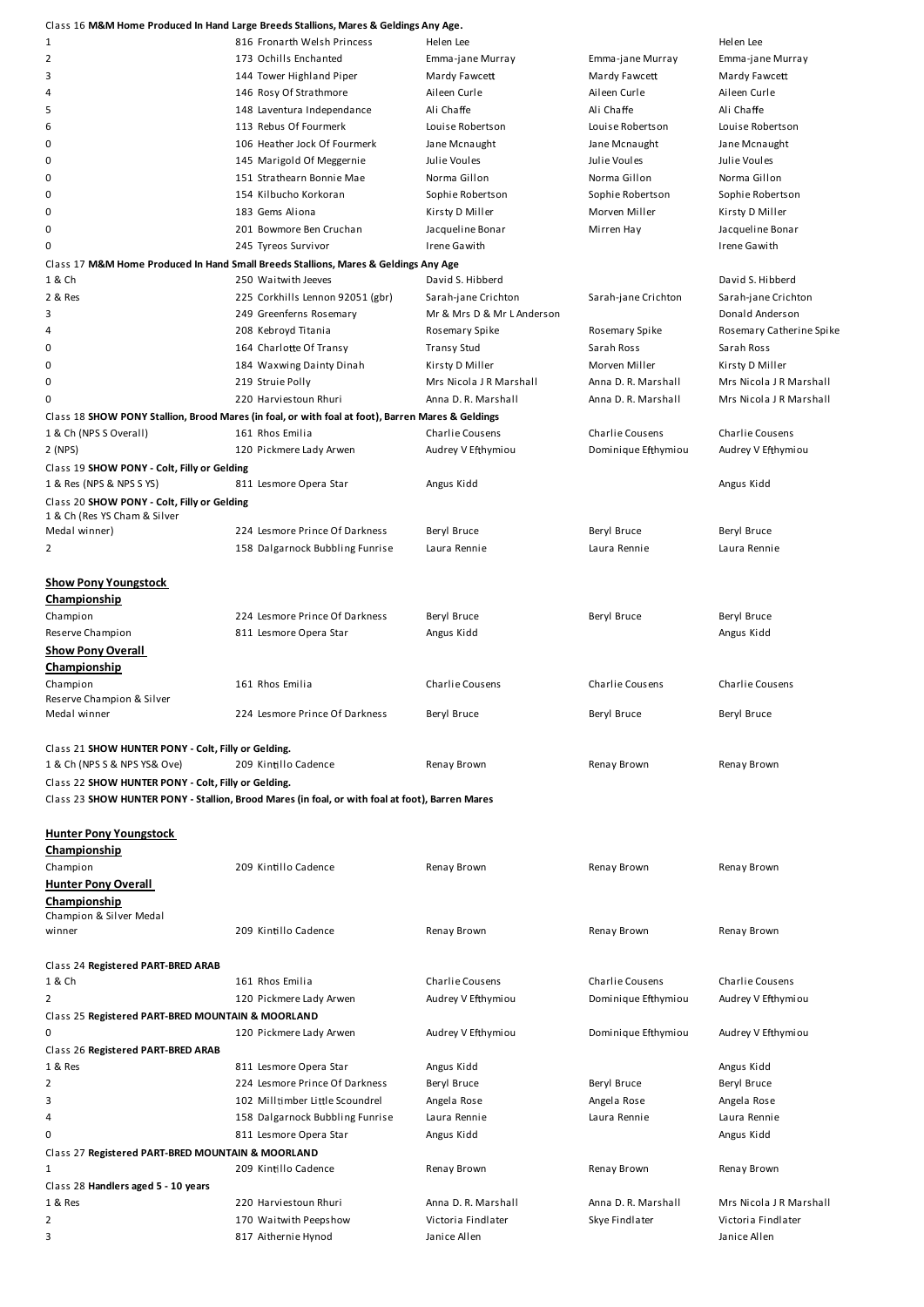|                                                     | Class 16 M&M Home Produced In Hand Large Breeds Stallions, Mares & Geldings Any Age.              |                            |                        |                          |
|-----------------------------------------------------|---------------------------------------------------------------------------------------------------|----------------------------|------------------------|--------------------------|
| 1                                                   | 816 Fronarth Welsh Princess                                                                       | Helen Lee                  |                        | Helen Lee                |
| $\overline{2}$                                      | 173 Ochills Enchanted                                                                             | Emma-jane Murray           | Emma-jane Murray       | Emma-jane Murray         |
| 3                                                   | 144 Tower Highland Piper                                                                          | Mardy Fawcett              | Mardy Fawcett          | Mardy Fawcett            |
| 4                                                   | 146 Rosy Of Strathmore                                                                            | Aileen Curle               | Aileen Curle           | Aileen Curle             |
| 5                                                   | 148 Laventura Independance                                                                        | Ali Chaffe                 | Ali Chaffe             | Ali Chaffe               |
| 6                                                   | 113 Rebus Of Fourmerk                                                                             | Louise Robertson           | Louise Robertson       | Louise Robertson         |
| 0                                                   | 106 Heather Jock Of Fourmerk                                                                      | Jane Mcnaught              | Jane Mcnaught          | Jane Mcnaught            |
| 0                                                   | 145 Marigold Of Meggernie                                                                         | Julie Voules               | Julie Voules           | Julie Voules             |
|                                                     |                                                                                                   |                            | Norma Gillon           |                          |
| 0                                                   | 151 Strathearn Bonnie Mae                                                                         | Norma Gillon               |                        | Norma Gillon             |
| 0                                                   | 154 Kilbucho Korkoran                                                                             | Sophie Robertson           | Sophie Robertson       | Sophie Robertson         |
| 0                                                   | 183 Gems Aliona                                                                                   | Kirsty D Miller            | Morven Miller          | Kirsty D Miller          |
| 0                                                   | 201 Bowmore Ben Cruchan                                                                           | Jacqueline Bonar           | Mirren Hay             | Jacqueline Bonar         |
| 0                                                   | 245 Tyreos Survivor                                                                               | Irene Gawith               |                        | Irene Gawith             |
|                                                     | Class 17 M&M Home Produced In Hand Small Breeds Stallions, Mares & Geldings Any Age               |                            |                        |                          |
| 1 & Ch                                              | 250 Waitwith Jeeves                                                                               | David S. Hibberd           |                        | David S. Hibberd         |
| 2 & Res                                             | 225 Corkhills Lennon 92051 (gbr)                                                                  | Sarah-jane Crichton        | Sarah-jane Crichton    | Sarah-jane Crichton      |
| 3                                                   | 249 Greenferns Rosemary                                                                           | Mr & Mrs D & Mr L Anderson |                        | Donald Anderson          |
| 4                                                   | 208 Kebroyd Titania                                                                               | Rosemary Spike             | Rosemary Spike         | Rosemary Catherine Spike |
| 0                                                   |                                                                                                   |                            | Sarah Ross             |                          |
|                                                     | 164 Charlotte Of Transy                                                                           | <b>Transy Stud</b>         |                        | Sarah Ross               |
| 0                                                   | 184 Waxwing Dainty Dinah                                                                          | Kirsty D Miller            | Morven Miller          | Kirsty D Miller          |
| 0                                                   | 219 Struie Polly                                                                                  | Mrs Nicola J R Marshall    | Anna D. R. Marshall    | Mrs Nicola J R Marshall  |
| 0                                                   | 220 Harviestoun Rhuri                                                                             | Anna D. R. Marshall        | Anna D. R. Marshall    | Mrs Nicola J R Marshall  |
|                                                     | Class 18 SHOW PONY Stallion, Brood Mares (in foal, or with foal at foot), Barren Mares & Geldings |                            |                        |                          |
| 1 & Ch (NPS S Overall)                              | 161 Rhos Emilia                                                                                   | <b>Charlie Cousens</b>     | <b>Charlie Cousens</b> | <b>Charlie Cousens</b>   |
| 2 (NPS)                                             | 120 Pickmere Lady Arwen                                                                           | Audrey V Efthymiou         | Dominique Efthymiou    | Audrey V Efthymiou       |
| Class 19 SHOW PONY - Colt, Filly or Gelding         |                                                                                                   |                            |                        |                          |
| 1 & Res (NPS & NPS S YS)                            | 811 Lesmore Opera Star                                                                            | Angus Kidd                 |                        | Angus Kidd               |
| Class 20 SHOW PONY - Colt, Filly or Gelding         |                                                                                                   |                            |                        |                          |
| 1 & Ch (Res YS Cham & Silver                        |                                                                                                   |                            |                        |                          |
| Medal winner)                                       | 224 Lesmore Prince Of Darkness                                                                    | Beryl Bruce                | Beryl Bruce            | Beryl Bruce              |
| 2                                                   | 158 Dalgarnock Bubbling Funrise                                                                   | Laura Rennie               | Laura Rennie           | Laura Rennie             |
|                                                     |                                                                                                   |                            |                        |                          |
| <b>Show Pony Youngstock</b><br>Championship         |                                                                                                   |                            |                        |                          |
|                                                     |                                                                                                   |                            |                        |                          |
| Champion                                            | 224 Lesmore Prince Of Darkness                                                                    | Beryl Bruce                | Beryl Bruce            | Beryl Bruce              |
| Reserve Champion                                    | 811 Lesmore Opera Star                                                                            | Angus Kidd                 |                        | Angus Kidd               |
| <b>Show Pony Overall</b>                            |                                                                                                   |                            |                        |                          |
| Championship                                        |                                                                                                   |                            |                        |                          |
| Champion                                            | 161 Rhos Emilia                                                                                   | <b>Charlie Cousens</b>     | Charlie Cousens        | <b>Charlie Cousens</b>   |
| Reserve Champion & Silver                           |                                                                                                   |                            |                        |                          |
| Medal winner                                        | 224 Lesmore Prince Of Darkness                                                                    | Beryl Bruce                | Beryl Bruce            | Beryl Bruce              |
|                                                     |                                                                                                   |                            |                        |                          |
| Class 21 SHOW HUNTER PONY - Colt, Filly or Gelding. |                                                                                                   |                            |                        |                          |
| 1 & Ch (NPS S & NPS YS& Ove)                        | 209 Kintillo Cadence                                                                              | Renay Brown                | Renay Brown            | Renay Brown              |
| Class 22 SHOW HUNTER PONY - Colt, Filly or Gelding. |                                                                                                   |                            |                        |                          |
|                                                     |                                                                                                   |                            |                        |                          |
|                                                     | Class 23 SHOW HUNTER PONY - Stallion, Brood Mares (in foal, or with foal at foot), Barren Mares   |                            |                        |                          |
|                                                     |                                                                                                   |                            |                        |                          |
| <b>Hunter Pony Youngstock</b>                       |                                                                                                   |                            |                        |                          |
| Championship                                        |                                                                                                   |                            |                        |                          |
| Champion                                            | 209 Kintillo Cadence                                                                              | Renay Brown                | Renay Brown            | Renay Brown              |
| <b>Hunter Pony Overall</b>                          |                                                                                                   |                            |                        |                          |
| Championship                                        |                                                                                                   |                            |                        |                          |
| Champion & Silver Medal                             |                                                                                                   |                            |                        |                          |
| winner                                              | 209 Kintillo Cadence                                                                              | Renay Brown                | Renay Brown            | Renay Brown              |
|                                                     |                                                                                                   |                            |                        |                          |
| Class 24 Registered PART-BRED ARAB                  |                                                                                                   |                            |                        |                          |
| 1 & Ch                                              |                                                                                                   | <b>Charlie Cousens</b>     | <b>Charlie Cousens</b> | <b>Charlie Cousens</b>   |
|                                                     | 161 Rhos Emilia                                                                                   |                            |                        |                          |
| 2                                                   | 120 Pickmere Lady Arwen                                                                           | Audrey V Efthymiou         | Dominique Efthymiou    | Audrey V Efthymiou       |
| Class 25 Registered PART-BRED MOUNTAIN & MOORLAND   |                                                                                                   |                            |                        |                          |
| 0                                                   | 120 Pickmere Lady Arwen                                                                           | Audrey V Efthymiou         | Dominique Efthymiou    | Audrey V Efthymiou       |
| Class 26 Registered PART-BRED ARAB                  |                                                                                                   |                            |                        |                          |
| 1 & Res                                             | 811 Lesmore Opera Star                                                                            | Angus Kidd                 |                        | Angus Kidd               |
| 2                                                   | 224 Lesmore Prince Of Darkness                                                                    | Beryl Bruce                | Beryl Bruce            | Beryl Bruce              |
| 3                                                   | 102 Milltimber Little Scoundrel                                                                   | Angela Rose                | Angela Rose            | Angela Rose              |
|                                                     |                                                                                                   |                            |                        |                          |
| 4                                                   | 158 Dalgarnock Bubbling Funrise                                                                   | Laura Rennie               | Laura Rennie           | Laura Rennie             |
| 0                                                   | 811 Lesmore Opera Star                                                                            | Angus Kidd                 |                        | Angus Kidd               |
| Class 27 Registered PART-BRED MOUNTAIN & MOORLAND   |                                                                                                   |                            |                        |                          |
| 1                                                   | 209 Kintillo Cadence                                                                              | Renay Brown                | Renay Brown            | Renay Brown              |
| Class 28 Handlers aged 5 - 10 years                 |                                                                                                   |                            |                        |                          |
| 1 & Res                                             | 220 Harviestoun Rhuri                                                                             | Anna D. R. Marshall        | Anna D. R. Marshall    | Mrs Nicola J R Marshall  |
| 2                                                   | 170 Waitwith Peepshow                                                                             | Victoria Findlater         | Skye Findlater         | Victoria Findlater       |
| 3                                                   | 817 Aithernie Hynod                                                                               | Janice Allen               |                        | Janice Allen             |
|                                                     |                                                                                                   |                            |                        |                          |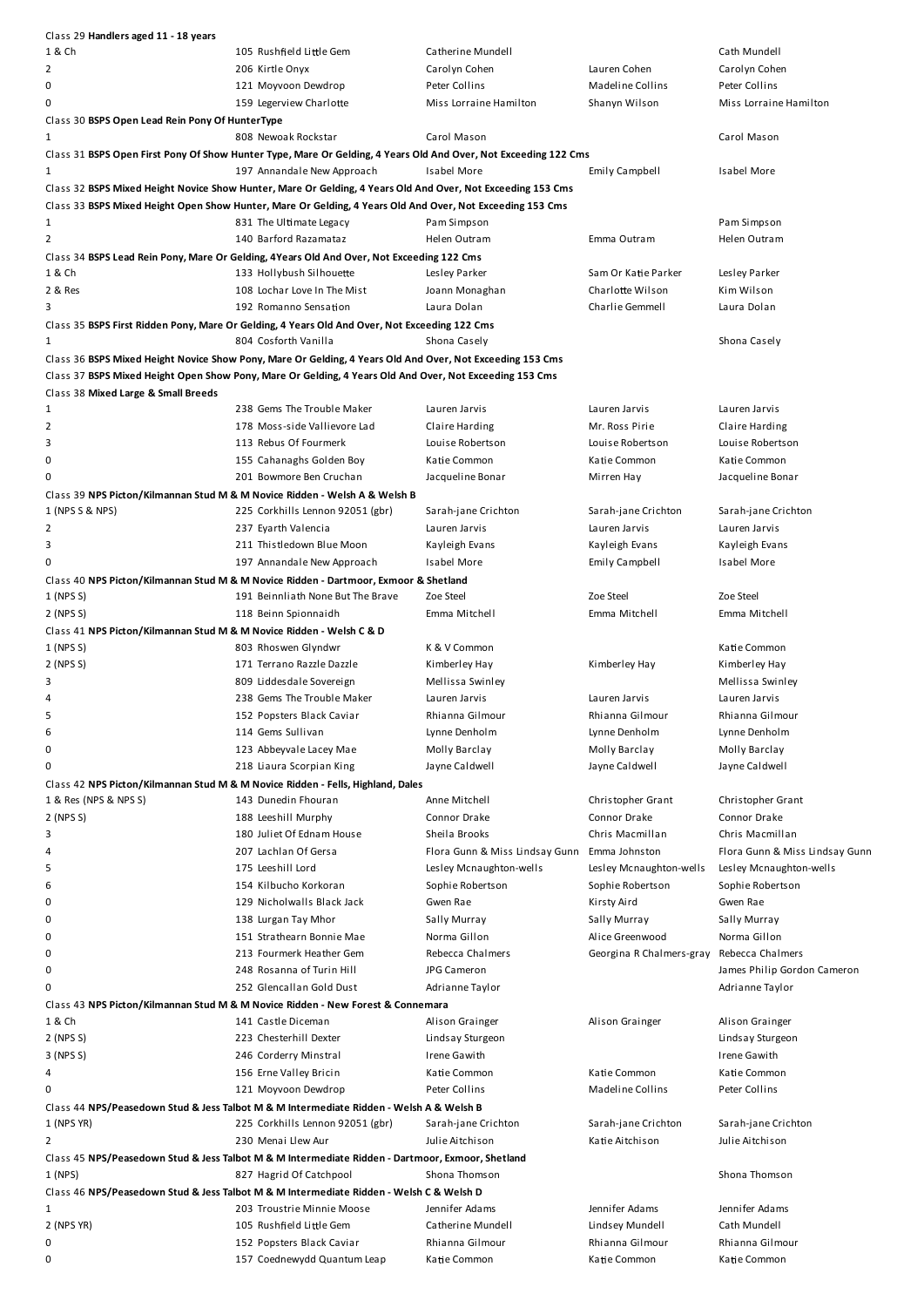| Class 29 Handlers aged 11 - 18 years                                 |                                                                                                                 |                                |                          |                                |
|----------------------------------------------------------------------|-----------------------------------------------------------------------------------------------------------------|--------------------------------|--------------------------|--------------------------------|
| 1 & Ch                                                               | 105 Rushfield Little Gem                                                                                        | Catherine Mundell              |                          | Cath Mundell                   |
| 2                                                                    | 206 Kirtle Onyx                                                                                                 | Carolyn Cohen                  | Lauren Cohen             | Carolyn Cohen                  |
| 0                                                                    | 121 Moyvoon Dewdrop                                                                                             | Peter Collins                  | Madeline Collins         | Peter Collins                  |
| 0                                                                    | 159 Legerview Charlotte                                                                                         | Miss Lorraine Hamilton         | Shanyn Wilson            | Miss Lorraine Hamilton         |
| Class 30 BSPS Open Lead Rein Pony Of HunterType                      |                                                                                                                 |                                |                          |                                |
| 1                                                                    | 808 Newoak Rockstar                                                                                             | Carol Mason                    |                          | Carol Mason                    |
|                                                                      | Class 31 BSPS Open First Pony Of Show Hunter Type, Mare Or Gelding, 4 Years Old And Over, Not Exceeding 122 Cms |                                |                          |                                |
| 1                                                                    | 197 Annandale New Approach                                                                                      | Isabel More                    | Emily Campbell           | Isabel More                    |
|                                                                      | Class 32 BSPS Mixed Height Novice Show Hunter, Mare Or Gelding, 4 Years Old And Over, Not Exceeding 153 Cms     |                                |                          |                                |
|                                                                      |                                                                                                                 |                                |                          |                                |
|                                                                      | Class 33 BSPS Mixed Height Open Show Hunter, Mare Or Gelding, 4 Years Old And Over, Not Exceeding 153 Cms       |                                |                          |                                |
| 1                                                                    | 831 The Ultimate Legacy                                                                                         | Pam Simpson                    |                          | Pam Simpson                    |
| 2                                                                    | 140 Barford Razamataz                                                                                           | Helen Outram                   | Emma Outram              | Helen Outram                   |
|                                                                      | Class 34 BSPS Lead Rein Pony, Mare Or Gelding, 4Years Old And Over, Not Exceeding 122 Cms                       |                                |                          |                                |
| 1 & Ch                                                               | 133 Hollybush Silhouette                                                                                        | Lesley Parker                  | Sam Or Katie Parker      | Lesley Parker                  |
| 2 & Res                                                              | 108 Lochar Love In The Mist                                                                                     | Joann Monaghan                 | Charlotte Wilson         | Kim Wilson                     |
| 3                                                                    | 192 Romanno Sensation                                                                                           | Laura Dolan                    | Charlie Gemmell          | Laura Dolan                    |
|                                                                      | Class 35 BSPS First Ridden Pony, Mare Or Gelding, 4 Years Old And Over, Not Exceeding 122 Cms                   |                                |                          |                                |
| 1                                                                    | 804 Cosforth Vanilla                                                                                            | Shona Casely                   |                          | Shona Casely                   |
|                                                                      | Class 36 BSPS Mixed Height Novice Show Pony, Mare Or Gelding, 4 Years Old And Over, Not Exceeding 153 Cms       |                                |                          |                                |
|                                                                      | Class 37 BSPS Mixed Height Open Show Pony, Mare Or Gelding, 4 Years Old And Over, Not Exceeding 153 Cms         |                                |                          |                                |
| Class 38 Mixed Large & Small Breeds                                  |                                                                                                                 |                                |                          |                                |
| 1                                                                    | 238 Gems The Trouble Maker                                                                                      | Lauren Jarvis                  | Lauren Jarvis            | Lauren Jarvis                  |
|                                                                      |                                                                                                                 | Claire Harding                 | Mr. Ross Pirie           |                                |
| 2                                                                    | 178 Moss-side Vallievore Lad                                                                                    |                                |                          | Claire Harding                 |
| 3                                                                    | 113 Rebus Of Fourmerk                                                                                           | Louise Robertson               | Louise Robertson         | Louise Robertson               |
| 0                                                                    | 155 Cahanaghs Golden Boy                                                                                        | Katie Common                   | Katie Common             | Katie Common                   |
| 0                                                                    | 201 Bowmore Ben Cruchan                                                                                         | Jacqueline Bonar               | Mirren Hay               | Jacqueline Bonar               |
|                                                                      | Class 39 NPS Picton/Kilmannan Stud M & M Novice Ridden - Welsh A & Welsh B                                      |                                |                          |                                |
| 1 (NPS S & NPS)                                                      | 225 Corkhills Lennon 92051 (gbr)                                                                                | Sarah-jane Crichton            | Sarah-jane Crichton      | Sarah-jane Crichton            |
| 2                                                                    | 237 Eyarth Valencia                                                                                             | Lauren Jarvis                  | Lauren Jarvis            | Lauren Jarvis                  |
| з                                                                    | 211 Thistledown Blue Moon                                                                                       | Kayleigh Evans                 | Kayleigh Evans           | Kayleigh Evans                 |
| 0                                                                    | 197 Annandale New Approach                                                                                      | <b>Isabel More</b>             | Emily Campbell           | Isabel More                    |
|                                                                      | Class 40 NPS Picton/Kilmannan Stud M & M Novice Ridden - Dartmoor, Exmoor & Shetland                            |                                |                          |                                |
| 1 (NPS S)                                                            | 191 Beinnliath None But The Brave                                                                               | Zoe Steel                      | Zoe Steel                | Zoe Steel                      |
| 2 (NPS S)                                                            | 118 Beinn Spionnaidh                                                                                            | Emma Mitchell                  | Emma Mitchell            | Emma Mitchell                  |
|                                                                      |                                                                                                                 |                                |                          |                                |
| Class 41 NPS Picton/Kilmannan Stud M & M Novice Ridden - Welsh C & D |                                                                                                                 |                                |                          |                                |
| 1 (NPS S)                                                            | 803 Rhoswen Glyndwr                                                                                             | K & V Common                   |                          | Katie Common                   |
| 2 (NPS S)                                                            | 171 Terrano Razzle Dazzle                                                                                       | Kimberley Hay                  | Kimberley Hay            | Kimberley Hay                  |
| з                                                                    | 809 Liddesdale Sovereign                                                                                        | Mellissa Swinley               |                          | Mellissa Swinley               |
| 4                                                                    | 238 Gems The Trouble Maker                                                                                      | Lauren Jarvis                  | Lauren Jarvis            | Lauren Jarvis                  |
| 5                                                                    | 152 Popsters Black Caviar                                                                                       | Rhianna Gilmour                | Rhianna Gilmour          | Rhianna Gilmour                |
| 6                                                                    | 114 Gems Sullivan                                                                                               | Lynne Denholm                  | Lynne Denholm            | Lynne Denholm                  |
| 0                                                                    | 123 Abbeyvale Lacey Mae                                                                                         | Molly Barclay                  | Molly Barclay            | Molly Barclay                  |
| 0                                                                    | 218 Liaura Scorpian King                                                                                        | Jayne Caldwell                 | Jayne Caldwell           | Jayne Caldwell                 |
|                                                                      | Class 42 NPS Picton/Kilmannan Stud M & M Novice Ridden - Fells, Highland, Dales                                 |                                |                          |                                |
| 1 & Res (NPS & NPS S)                                                | 143 Dunedin Fhouran                                                                                             | Anne Mitchell                  | Christopher Grant        | Christopher Grant              |
| 2 (NPS S)                                                            | 188 Leeshill Murphy                                                                                             | Connor Drake                   | Connor Drake             | Connor Drake                   |
| 3                                                                    | 180 Juliet Of Ednam House                                                                                       | Sheila Brooks                  | Chris Macmillan          | Chris Macmillan                |
|                                                                      |                                                                                                                 |                                |                          |                                |
| 4                                                                    | 207 Lachlan Of Gersa                                                                                            | Flora Gunn & Miss Lindsay Gunn | Emma Johnston            | Flora Gunn & Miss Lindsay Gunn |
| 5                                                                    | 175 Leeshill Lord                                                                                               | Lesley Mcnaughton-wells        | Lesley Mcnaughton-wells  | Lesley Mcnaughton-wells        |
| 6                                                                    | 154 Kilbucho Korkoran                                                                                           | Sophie Robertson               | Sophie Robertson         | Sophie Robertson               |
| 0                                                                    | 129 Nicholwalls Black Jack                                                                                      | Gwen Rae                       | Kirsty Aird              | Gwen Rae                       |
| 0                                                                    | 138 Lurgan Tay Mhor                                                                                             | Sally Murray                   | Sally Murray             | Sally Murray                   |
| 0                                                                    | 151 Strathearn Bonnie Mae                                                                                       | Norma Gillon                   | Alice Greenwood          | Norma Gillon                   |
| 0                                                                    | 213 Fourmerk Heather Gem                                                                                        | Rebecca Chalmers               | Georgina R Chalmers-gray | Rebecca Chalmers               |
| 0                                                                    | 248 Rosanna of Turin Hill                                                                                       | <b>JPG Cameron</b>             |                          | James Philip Gordon Cameron    |
| 0                                                                    | 252 Glencallan Gold Dust                                                                                        | Adrianne Taylor                |                          | Adrianne Taylor                |
|                                                                      | Class 43 NPS Picton/Kilmannan Stud M & M Novice Ridden - New Forest & Connemara                                 |                                |                          |                                |
| 1 & Ch                                                               | 141 Castle Diceman                                                                                              | Alison Grainger                | Alison Grainger          | Alison Grainger                |
|                                                                      |                                                                                                                 |                                |                          |                                |
| 2 (NPS S)                                                            | 223 Chesterhill Dexter                                                                                          | Lindsay Sturgeon               |                          | Lindsay Sturgeon               |
| 3 (NPS S)                                                            | 246 Corderry Minstral                                                                                           | Irene Gawith                   |                          | <b>Irene Gawith</b>            |
| 4                                                                    | 156 Erne Valley Bricin                                                                                          | Katie Common                   | Katie Common             | Katie Common                   |
| 0                                                                    | 121 Moyvoon Dewdrop                                                                                             | Peter Collins                  | Madeline Collins         | Peter Collins                  |
|                                                                      | Class 44 NPS/Peasedown Stud & Jess Talbot M & M Intermediate Ridden - Welsh A & Welsh B                         |                                |                          |                                |
| 1 (NPS YR)                                                           | 225 Corkhills Lennon 92051 (gbr)                                                                                | Sarah-jane Crichton            | Sarah-jane Crichton      | Sarah-jane Crichton            |
| 2                                                                    | 230 Menai Llew Aur                                                                                              | Julie Aitchison                | Katie Aitchison          | Julie Aitchison                |
|                                                                      | Class 45 NPS/Peasedown Stud & Jess Talbot M & M Intermediate Ridden - Dartmoor, Exmoor, Shetland                |                                |                          |                                |
| 1 (NPS)                                                              | 827 Hagrid Of Catchpool                                                                                         | Shona Thomson                  |                          | Shona Thomson                  |
|                                                                      | Class 46 NPS/Peasedown Stud & Jess Talbot M & M Intermediate Ridden - Welsh C & Welsh D                         |                                |                          |                                |
| 1                                                                    | 203 Troustrie Minnie Moose                                                                                      | Jennifer Adams                 | Jennifer Adams           | Jennifer Adams                 |
|                                                                      |                                                                                                                 |                                |                          |                                |
| 2 (NPS YR)                                                           | 105 Rushfield Little Gem                                                                                        | Catherine Mundell              | Lindsey Mundell          | Cath Mundell                   |
| 0                                                                    | 152 Popsters Black Caviar                                                                                       | Rhianna Gilmour                | Rhianna Gilmour          | Rhianna Gilmour                |
| 0                                                                    | 157 Coednewydd Quantum Leap                                                                                     | Katie Common                   | Katie Common             | Katie Common                   |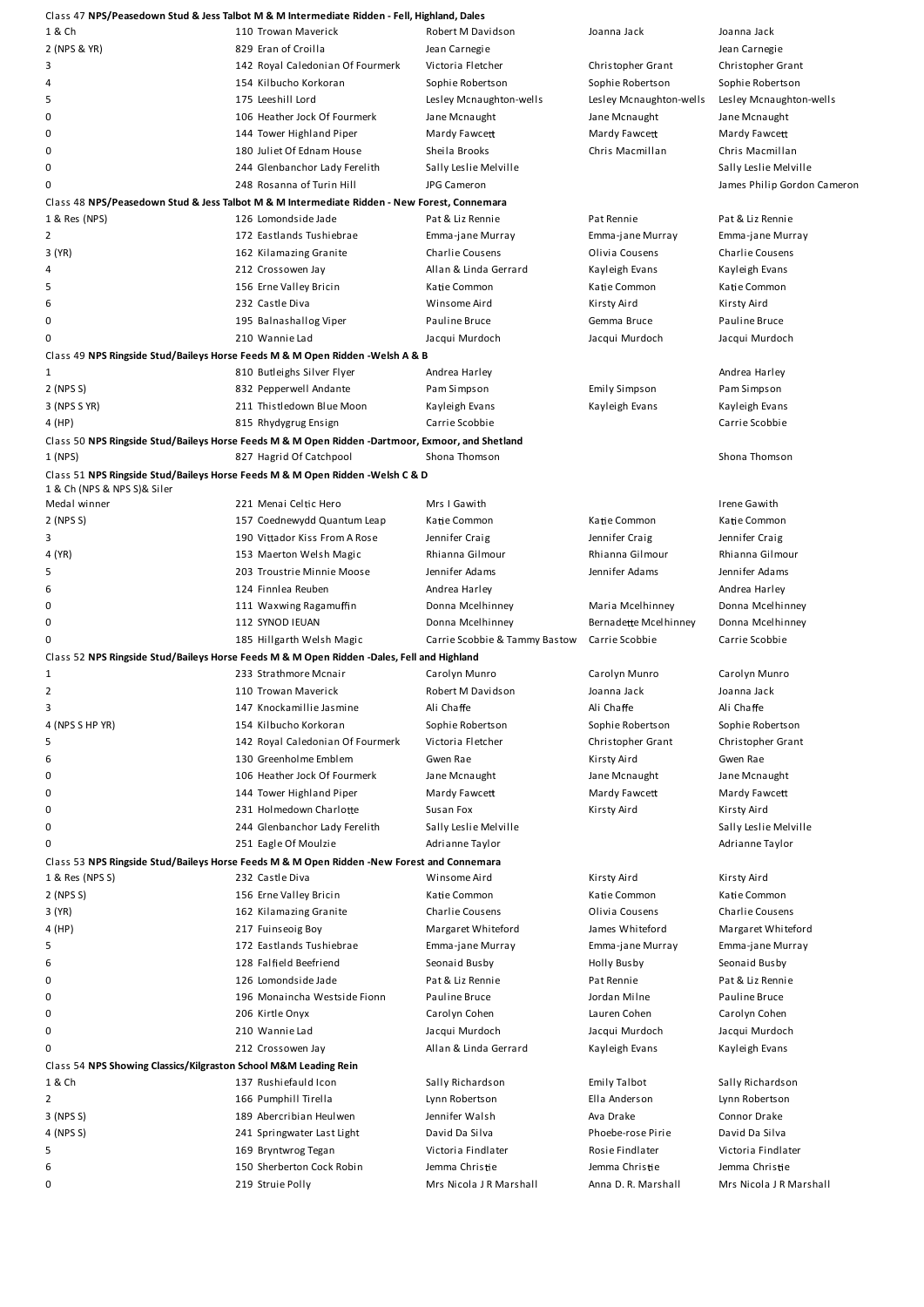|                                                                  | Class 47 NPS/Peasedown Stud & Jess Talbot M & M Intermediate Ridden - Fell, Highland, Dales                                 |                               |                         |                             |
|------------------------------------------------------------------|-----------------------------------------------------------------------------------------------------------------------------|-------------------------------|-------------------------|-----------------------------|
| 1 & Ch                                                           | 110 Trowan Maverick                                                                                                         | Robert M Davidson             | Joanna Jack             | Joanna Jack                 |
| 2 (NPS & YR)                                                     | 829 Eran of Croilla                                                                                                         | Jean Carnegie                 |                         | Jean Carnegie               |
| 3                                                                | 142 Royal Caledonian Of Fourmerk                                                                                            | Victoria Fletcher             | Christopher Grant       | Christopher Grant           |
| 4                                                                | 154 Kilbucho Korkoran                                                                                                       | Sophie Robertson              | Sophie Robertson        | Sophie Robertson            |
| 5                                                                | 175 Leeshill Lord                                                                                                           | Lesley Mcnaughton-wells       | Lesley Mcnaughton-wells | Lesley Mcnaughton-wells     |
| 0                                                                | 106 Heather Jock Of Fourmerk                                                                                                | Jane Mcnaught                 | Jane Mcnaught           | Jane Mcnaught               |
| 0                                                                | 144 Tower Highland Piper                                                                                                    | Mardy Fawcett                 | Mardy Fawcett           | Mardy Fawcett               |
| 0                                                                | 180 Juliet Of Ednam House                                                                                                   | Sheila Brooks                 | Chris Macmillan         | Chris Macmillan             |
| 0                                                                | 244 Glenbanchor Lady Ferelith                                                                                               | Sally Leslie Melville         |                         | Sally Leslie Melville       |
| 0                                                                | 248 Rosanna of Turin Hill                                                                                                   | <b>JPG Cameron</b>            |                         | James Philip Gordon Cameron |
|                                                                  | Class 48 NPS/Peasedown Stud & Jess Talbot M & M Intermediate Ridden - New Forest, Connemara                                 |                               |                         |                             |
| 1 & Res (NPS)                                                    | 126 Lomondside Jade                                                                                                         | Pat & Liz Rennie              | Pat Rennie              | Pat & Liz Rennie            |
| 2                                                                | 172 Eastlands Tushiebrae                                                                                                    | Emma-jane Murray              | Emma-jane Murray        | Emma-jane Murray            |
| 3 (YR)                                                           | 162 Kilamazing Granite                                                                                                      | Charlie Cousens               | Olivia Cousens          | <b>Charlie Cousens</b>      |
| 4                                                                | 212 Crossowen Jay                                                                                                           | Allan & Linda Gerrard         | Kayleigh Evans          | Kayleigh Evans              |
| 5                                                                | 156 Erne Valley Bricin                                                                                                      | Katie Common                  | Katie Common            | Katie Common                |
| 6                                                                | 232 Castle Diva                                                                                                             | Winsome Aird                  | Kirsty Aird             | Kirsty Aird                 |
| 0                                                                | 195 Balnashallog Viper                                                                                                      | Pauline Bruce                 | Gemma Bruce             | <b>Pauline Bruce</b>        |
| 0                                                                | 210 Wannie Lad                                                                                                              | Jacqui Murdoch                | Jacqui Murdoch          | Jacqui Murdoch              |
|                                                                  | Class 49 NPS Ringside Stud/Baileys Horse Feeds M & M Open Ridden -Welsh A & B                                               |                               |                         |                             |
| 1                                                                | 810 Butleighs Silver Flyer                                                                                                  | Andrea Harley                 |                         | Andrea Harley               |
| 2 (NPS S)                                                        | 832 Pepperwell Andante                                                                                                      | Pam Simpson                   | Emily Simpson           | Pam Simpson                 |
| 3 (NPS S YR)                                                     | 211 Thistledown Blue Moon                                                                                                   | Kayleigh Evans                | Kayleigh Evans          | Kayleigh Evans              |
| 4 (HP)                                                           | 815 Rhydygrug Ensign                                                                                                        | Carrie Scobbie                |                         | Carrie Scobbie              |
| 1 (NPS)                                                          | Class 50 NPS Ringside Stud/Baileys Horse Feeds M & M Open Ridden -Dartmoor, Exmoor, and Shetland<br>827 Hagrid Of Catchpool | Shona Thomson                 |                         | Shona Thomson               |
|                                                                  | Class 51 NPS Ringside Stud/Baileys Horse Feeds M & M Open Ridden -Welsh C & D                                               |                               |                         |                             |
| 1 & Ch (NPS & NPS S)& Siler<br>Medal winner                      | 221 Menai Celtic Hero                                                                                                       | Mrs I Gawith                  |                         | Irene Gawith                |
| 2 (NPS S)                                                        | 157 Coednewydd Quantum Leap                                                                                                 | Katie Common                  | Katie Common            | Katie Common                |
| 3                                                                | 190 Vittador Kiss From A Rose                                                                                               | Jennifer Craig                | Jennifer Craig          | Jennifer Craig              |
| 4 (YR)                                                           | 153 Maerton Welsh Magic                                                                                                     | Rhianna Gilmour               | Rhianna Gilmour         | Rhianna Gilmour             |
| 5                                                                | 203 Troustrie Minnie Moose                                                                                                  | Jennifer Adams                | Jennifer Adams          | Jennifer Adams              |
| 6                                                                | 124 Finnlea Reuben                                                                                                          | Andrea Harley                 |                         | Andrea Harley               |
| 0                                                                | 111 Waxwing Ragamuffin                                                                                                      | Donna Mcelhinney              | Maria Mcelhinney        | Donna Mcelhinney            |
| 0                                                                | 112 SYNOD IEUAN                                                                                                             | Donna Mcelhinney              | Bernadette Mcelhinney   | Donna Mcelhinney            |
| 0                                                                | 185 Hillgarth Welsh Magic                                                                                                   | Carrie Scobbie & Tammy Bastow | Carrie Scobbie          | Carrie Scobbie              |
|                                                                  | Class 52 NPS Ringside Stud/Baileys Horse Feeds M & M Open Ridden -Dales, Fell and Highland                                  |                               |                         |                             |
| 1                                                                | 233 Strathmore Mcnair                                                                                                       | Carolyn Munro                 | Carolyn Munro           | Carolyn Munro               |
| 2                                                                | 110 Trowan Maverick                                                                                                         | Robert M Davidson             | Joanna Jack             | Joanna Jack                 |
| 3                                                                | 147 Knockamillie Jasmine                                                                                                    | Ali Chaffe                    | Ali Chaffe              | Ali Chaffe                  |
| 4 (NPS S HP YR)                                                  | 154 Kilbucho Korkoran                                                                                                       | Sophie Robertson              | Sophie Robertson        | Sophie Robertson            |
| 5                                                                | 142 Royal Caledonian Of Fourmerk                                                                                            | Victoria Fletcher             | Christopher Grant       | Christopher Grant           |
| 6                                                                | 130 Greenholme Emblem                                                                                                       | Gwen Rae                      | Kirsty Aird             | Gwen Rae                    |
| 0                                                                | 106 Heather Jock Of Fourmerk                                                                                                | Jane Mcnaught                 | Jane Mcnaught           | Jane Mcnaught               |
| 0                                                                | 144 Tower Highland Piper                                                                                                    | Mardy Fawcett                 | Mardy Fawcett           | Mardy Fawcett               |
| 0                                                                | 231 Holmedown Charlotte                                                                                                     | Susan Fox                     | Kirsty Aird             | Kirsty Aird                 |
| 0                                                                | 244 Glenbanchor Lady Ferelith                                                                                               | Sally Leslie Melville         |                         | Sally Leslie Melville       |
| 0                                                                | 251 Eagle Of Moulzie                                                                                                        | Adrianne Taylor               |                         | Adrianne Taylor             |
|                                                                  | Class 53 NPS Ringside Stud/Baileys Horse Feeds M & M Open Ridden -New Forest and Connemara                                  |                               |                         |                             |
| 1 & Res (NPS S)                                                  | 232 Castle Diva                                                                                                             | Winsome Aird                  | Kirsty Aird             | Kirsty Aird                 |
| 2 (NPS S)                                                        | 156 Erne Valley Bricin                                                                                                      | Katie Common                  | Katie Common            | Katie Common                |
| 3 (YR)                                                           | 162 Kilamazing Granite                                                                                                      | <b>Charlie Cousens</b>        | Olivia Cousens          | Charlie Cousens             |
| 4 (HP)                                                           | 217 Fuinseoig Boy                                                                                                           | Margaret Whiteford            | James Whiteford         | Margaret Whiteford          |
| 5                                                                | 172 Eastlands Tushiebrae                                                                                                    | Emma-jane Murray              | Emma-jane Murray        | Emma-jane Murray            |
| 6                                                                | 128 Falfield Beefriend                                                                                                      | Seonaid Busby                 | Holly Busby             | Seonaid Busby               |
| 0                                                                | 126 Lomondside Jade                                                                                                         | Pat & Liz Rennie              | Pat Rennie              | Pat & Liz Rennie            |
| 0                                                                | 196 Monaincha Westside Fionn                                                                                                | Pauline Bruce                 | Jordan Milne            | Pauline Bruce               |
| 0                                                                | 206 Kirtle Onyx                                                                                                             | Carolyn Cohen                 | Lauren Cohen            | Carolyn Cohen               |
| 0                                                                | 210 Wannie Lad                                                                                                              | Jacqui Murdoch                | Jacqui Murdoch          | Jacqui Murdoch              |
| 0                                                                | 212 Crossowen Jay                                                                                                           | Allan & Linda Gerrard         | Kayleigh Evans          | Kayleigh Evans              |
| Class 54 NPS Showing Classics/Kilgraston School M&M Leading Rein |                                                                                                                             |                               |                         |                             |
| 1 & Ch                                                           | 137 Rushiefauld Icon                                                                                                        | Sally Richardson              | <b>Emily Talbot</b>     | Sally Richardson            |
| 2                                                                | 166 Pumphill Tirella                                                                                                        | Lynn Robertson                | Ella Anderson           | Lynn Robertson              |
| 3 (NPS S)                                                        | 189 Abercribian Heulwen                                                                                                     | Jennifer Walsh                | Ava Drake               | Connor Drake                |
| 4 (NPS S)                                                        | 241 Springwater Last Light                                                                                                  | David Da Silva                | Phoebe-rose Pirie       | David Da Silva              |
| 5                                                                | 169 Bryntwrog Tegan                                                                                                         | Victoria Findlater            | Rosie Findlater         | Victoria Findlater          |
| 6                                                                | 150 Sherberton Cock Robin                                                                                                   | Jemma Christie                | Jemma Christie          | Jemma Christie              |
| 0                                                                | 219 Struie Polly                                                                                                            | Mrs Nicola J R Marshall       | Anna D. R. Marshall     | Mrs Nicola J R Marshall     |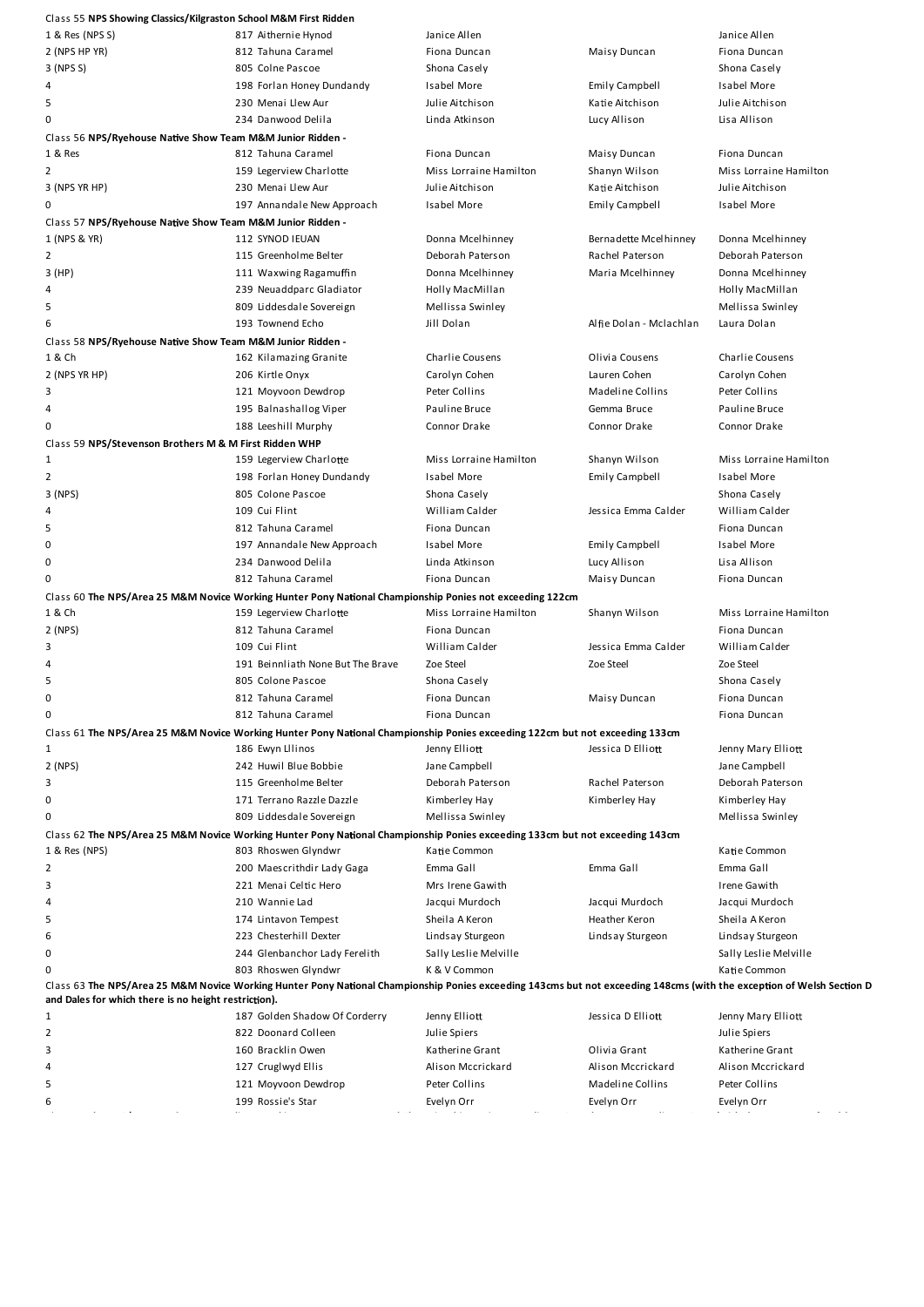| Class 55 NPS Showing Classics/Kilgraston School M&M First Ridden |                                                                                                                                                                       |                               |                         |                        |
|------------------------------------------------------------------|-----------------------------------------------------------------------------------------------------------------------------------------------------------------------|-------------------------------|-------------------------|------------------------|
| 1 & Res (NPS S)                                                  | 817 Aithernie Hynod                                                                                                                                                   | Janice Allen                  |                         | Janice Allen           |
| 2 (NPS HP YR)                                                    | 812 Tahuna Caramel                                                                                                                                                    | Fiona Duncan                  | Maisy Duncan            | Fiona Duncan           |
| 3 (NPS S)                                                        | 805 Colne Pascoe                                                                                                                                                      | Shona Casely                  |                         | Shona Casely           |
| 4                                                                | 198 Forlan Honey Dundandy                                                                                                                                             | Isabel More                   | Emily Campbell          | Isabel More            |
| 5                                                                | 230 Menai Llew Aur                                                                                                                                                    | Julie Aitchison               | Katie Aitchison         | Julie Aitchison        |
| 0                                                                | 234 Danwood Delila                                                                                                                                                    | Linda Atkinson                | Lucy Allison            | Lisa Allison           |
| Class 56 NPS/Ryehouse Native Show Team M&M Junior Ridden -       |                                                                                                                                                                       |                               |                         |                        |
| 1 & Res                                                          | 812 Tahuna Caramel                                                                                                                                                    | Fiona Duncan                  | Maisy Duncan            | Fiona Duncan           |
| 2                                                                | 159 Legerview Charlotte                                                                                                                                               | <b>Miss Lorraine Hamilton</b> | Shanyn Wilson           | Miss Lorraine Hamilton |
| 3 (NPS YR HP)                                                    | 230 Menai Llew Aur                                                                                                                                                    | Julie Aitchison               | Katie Aitchison         | Julie Aitchison        |
|                                                                  | 197 Annandale New Approach                                                                                                                                            | Isabel More                   | Emily Campbell          | <b>Isabel More</b>     |
| Class 57 NPS/Ryehouse Native Show Team M&M Junior Ridden -       |                                                                                                                                                                       |                               |                         |                        |
| 1 (NPS & YR)                                                     | 112 SYNOD IEUAN                                                                                                                                                       | Donna Mcelhinney              | Bernadette Mcelhinney   | Donna Mcelhinney       |
| 2                                                                | 115 Greenholme Belter                                                                                                                                                 | Deborah Paterson              | Rachel Paterson         | Deborah Paterson       |
|                                                                  |                                                                                                                                                                       | Donna Mcelhinney              | Maria Mcelhinney        | Donna Mcelhinney       |
| 3 (HP)                                                           | 111 Waxwing Ragamuffin                                                                                                                                                |                               |                         |                        |
| 4                                                                | 239 Neuaddparc Gladiator                                                                                                                                              | Holly MacMillan               |                         | Holly MacMillan        |
| 5                                                                | 809 Liddesdale Sovereign                                                                                                                                              | Mellissa Swinley              |                         | Mellissa Swinley       |
| 6                                                                | 193 Townend Echo                                                                                                                                                      | Jill Dolan                    | Alfie Dolan - Mclachlan | Laura Dolan            |
| Class 58 NPS/Ryehouse Native Show Team M&M Junior Ridden -       |                                                                                                                                                                       |                               |                         |                        |
| 1 & Ch                                                           | 162 Kilamazing Granite                                                                                                                                                | <b>Charlie Cousens</b>        | Olivia Cousens          | <b>Charlie Cousens</b> |
| 2 (NPS YR HP)                                                    | 206 Kirtle Onyx                                                                                                                                                       | Carolyn Cohen                 | Lauren Cohen            | Carolyn Cohen          |
| 3                                                                | 121 Moyvoon Dewdrop                                                                                                                                                   | Peter Collins                 | Madeline Collins        | Peter Collins          |
| 4                                                                | 195 Balnashallog Viper                                                                                                                                                | Pauline Bruce                 | Gemma Bruce             | Pauline Bruce          |
| 0                                                                | 188 Leeshill Murphy                                                                                                                                                   | Connor Drake                  | Connor Drake            | Connor Drake           |
| Class 59 NPS/Stevenson Brothers M & M First Ridden WHP           |                                                                                                                                                                       |                               |                         |                        |
| 1                                                                | 159 Legerview Charlotte                                                                                                                                               | Miss Lorraine Hamilton        | Shanyn Wilson           | Miss Lorraine Hamilton |
| 2                                                                | 198 Forlan Honey Dundandy                                                                                                                                             | Isabel More                   | Emily Campbell          | Isabel More            |
| 3 (NPS)                                                          | 805 Colone Pascoe                                                                                                                                                     | Shona Casely                  |                         | Shona Casely           |
| 4                                                                | 109 Cui Flint                                                                                                                                                         | William Calder                | Jessica Emma Calder     | William Calder         |
| 5                                                                | 812 Tahuna Caramel                                                                                                                                                    | Fiona Duncan                  |                         | Fiona Duncan           |
| 0                                                                | 197 Annandale New Approach                                                                                                                                            | Isabel More                   | Emily Campbell          | Isabel More            |
| 0                                                                | 234 Danwood Delila                                                                                                                                                    | Linda Atkinson                | Lucy Allison            | Lisa Allison           |
| 0                                                                | 812 Tahuna Caramel                                                                                                                                                    | Fiona Duncan                  | Maisy Duncan            | Fiona Duncan           |
|                                                                  | Class 60 The NPS/Area 25 M&M Novice Working Hunter Pony National Championship Ponies not exceeding 122cm                                                              |                               |                         |                        |
| 1 & Ch                                                           | 159 Legerview Charlotte                                                                                                                                               | Miss Lorraine Hamilton        | Shanyn Wilson           | Miss Lorraine Hamilton |
| 2 (NPS)                                                          | 812 Tahuna Caramel                                                                                                                                                    | Fiona Duncan                  |                         | Fiona Duncan           |
|                                                                  | 109 Cui Flint                                                                                                                                                         | William Calder                | Jessica Emma Calder     | William Calder         |
| 3                                                                |                                                                                                                                                                       |                               |                         |                        |
| 4                                                                | 191 Beinnliath None But The Brave                                                                                                                                     | Zoe Steel                     | Zoe Steel               | Zoe Steel              |
| 5                                                                | 805 Colone Pascoe                                                                                                                                                     | Shona Casely                  |                         | Shona Casely           |
| 0                                                                | 812 Tahuna Caramel                                                                                                                                                    | Fiona Duncan                  | Maisy Duncan            | Fiona Duncan           |
| 0                                                                | 812 Tahuna Caramel                                                                                                                                                    | Fiona Duncan                  |                         | Fiona Duncan           |
|                                                                  | Class 61 The NPS/Area 25 M&M Novice Working Hunter Pony National Championship Ponies exceeding 122cm but not exceeding 133cm                                          |                               |                         |                        |
| 1                                                                | 186 Ewyn Lllinos                                                                                                                                                      | Jenny Elliott                 | Jessica D Elliott       | Jenny Mary Elliott     |
| 2 (NPS)                                                          | 242 Huwil Blue Bobbie                                                                                                                                                 | Jane Campbell                 |                         | Jane Campbell          |
| 3                                                                | 115 Greenholme Belter                                                                                                                                                 | Deborah Paterson              | Rachel Paterson         | Deborah Paterson       |
| 0                                                                | 171 Terrano Razzle Dazzle                                                                                                                                             | Kimberley Hay                 | Kimberley Hay           | Kimberley Hay          |
| 0                                                                | 809 Liddesdale Sovereign                                                                                                                                              | Mellissa Swinley              |                         | Mellissa Swinley       |
|                                                                  | Class 62 The NPS/Area 25 M&M Novice Working Hunter Pony National Championship Ponies exceeding 133cm but not exceeding 143cm                                          |                               |                         |                        |
| 1 & Res (NPS)                                                    | 803 Rhoswen Glyndwr                                                                                                                                                   | Katie Common                  |                         | Katie Common           |
| 2                                                                | 200 Maescrithdir Lady Gaga                                                                                                                                            | Emma Gall                     | Emma Gall               | Emma Gall              |
| 3                                                                | 221 Menai Celtic Hero                                                                                                                                                 | Mrs Irene Gawith              |                         | Irene Gawith           |
| 4                                                                | 210 Wannie Lad                                                                                                                                                        | Jacqui Murdoch                | Jacqui Murdoch          | Jacqui Murdoch         |
| 5                                                                | 174 Lintavon Tempest                                                                                                                                                  | Sheila A Keron                | Heather Keron           | Sheila A Keron         |
| 6                                                                | 223 Chesterhill Dexter                                                                                                                                                | Lindsay Sturgeon              | Lindsay Sturgeon        | Lindsay Sturgeon       |
| 0                                                                | 244 Glenbanchor Lady Ferelith                                                                                                                                         | Sally Leslie Melville         |                         | Sally Leslie Melville  |
| 0                                                                | 803 Rhoswen Glyndwr                                                                                                                                                   | K & V Common                  |                         | Katie Common           |
| and Dales for which there is no height restriction).             | Class 63 The NPS/Area 25 M&M Novice Working Hunter Pony National Championship Ponies exceeding 143cms but not exceeding 148cms (with the exception of Welsh Section D |                               |                         |                        |
| 1                                                                | 187 Golden Shadow Of Corderry                                                                                                                                         | Jenny Elliott                 | Jessica D Elliott       | Jenny Mary Elliott     |
| 2                                                                | 822 Doonard Colleen                                                                                                                                                   | Julie Spiers                  |                         | Julie Spiers           |
| 3                                                                | 160 Bracklin Owen                                                                                                                                                     | Katherine Grant               | Olivia Grant            | Katherine Grant        |
|                                                                  |                                                                                                                                                                       |                               |                         |                        |
| 4                                                                | 127 Cruglwyd Ellis                                                                                                                                                    | Alison Mccrickard             | Alison Mccrickard       | Alison Mccrickard      |
| 5                                                                | 121 Moyvoon Dewdrop                                                                                                                                                   | Peter Collins                 | Madeline Collins        | Peter Collins          |
| 6                                                                | 199 Rossie's Star                                                                                                                                                     | Evelyn Orr                    | Evelyn Orr              | Evelyn Orr             |
|                                                                  |                                                                                                                                                                       |                               |                         |                        |